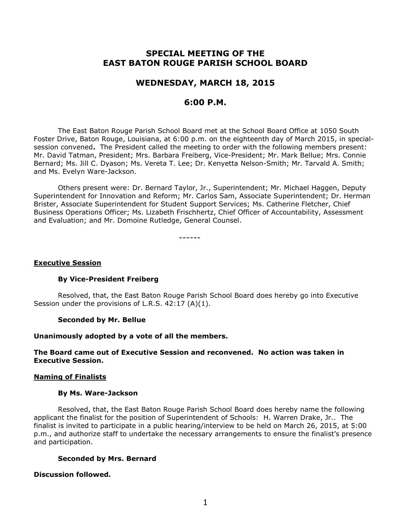# **SPECIAL MEETING OF THE EAST BATON ROUGE PARISH SCHOOL BOARD**

## **WEDNESDAY, MARCH 18, 2015**

## **6:00 P.M.**

The East Baton Rouge Parish School Board met at the School Board Office at 1050 South Foster Drive, Baton Rouge, Louisiana, at 6:00 p.m. on the eighteenth day of March 2015, in specialsession convened**.** The President called the meeting to order with the following members present: Mr. David Tatman, President; Mrs. Barbara Freiberg, Vice-President; Mr. Mark Bellue; Mrs. Connie Bernard; Ms. Jill C. Dyason; Ms. Vereta T. Lee; Dr. Kenyetta Nelson-Smith; Mr. Tarvald A. Smith; and Ms. Evelyn Ware-Jackson.

Others present were: Dr. Bernard Taylor, Jr., Superintendent; Mr. Michael Haggen, Deputy Superintendent for Innovation and Reform; Mr. Carlos Sam, Associate Superintendent; Dr. Herman Brister, Associate Superintendent for Student Support Services; Ms. Catherine Fletcher, Chief Business Operations Officer; Ms. Lizabeth Frischhertz, Chief Officer of Accountability, Assessment and Evaluation; and Mr. Domoine Rutledge, General Counsel.

------

#### **Executive Session**

## **By Vice-President Freiberg**

Resolved, that, the East Baton Rouge Parish School Board does hereby go into Executive Session under the provisions of L.R.S. 42:17 (A)(1).

#### **Seconded by Mr. Bellue**

#### **Unanimously adopted by a vote of all the members.**

## **The Board came out of Executive Session and reconvened. No action was taken in Executive Session.**

#### **Naming of Finalists**

#### **By Ms. Ware-Jackson**

Resolved, that, the East Baton Rouge Parish School Board does hereby name the following applicant the finalist for the position of Superintendent of Schools: H. Warren Drake, Jr.. The finalist is invited to participate in a public hearing/interview to be held on March 26, 2015, at 5:00 p.m., and authorize staff to undertake the necessary arrangements to ensure the finalist's presence and participation.

## **Seconded by Mrs. Bernard**

## **Discussion followed.**